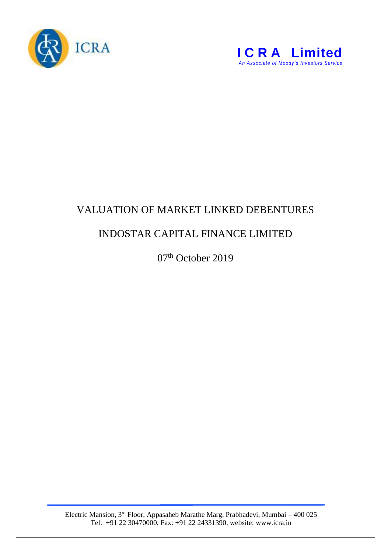



## VALUATION OF MARKET LINKED DEBENTURES

## INDOSTAR CAPITAL FINANCE LIMITED

07<sup>th</sup> October 2019

Electric Mansion, 3<sup>rd</sup> Floor, Appasaheb Marathe Marg, Prabhadevi, Mumbai – 400 025 Tel: +91 22 30470000, Fax: +91 22 24331390, website: www.icra.in